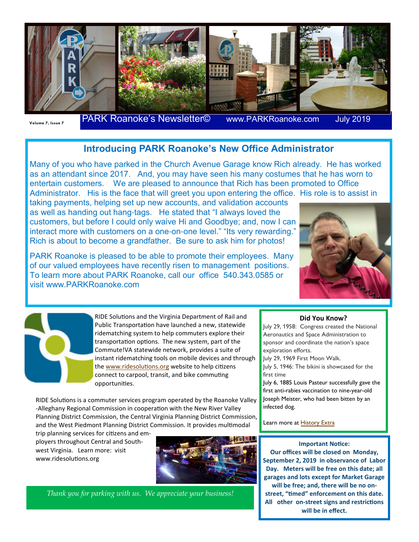

Volume 7, Issue 7 **PARK Roanoke's Newsletter©** www.PARKRoanoke.com

**July 2019** 

## **Introducing PARK Roanoke's New Office Administrator**

Many of you who have parked in the Church Avenue Garage know Rich already. He has worked as an attendant since 2017. And, you may have seen his many costumes that he has worn to entertain customers. We are pleased to announce that Rich has been promoted to Office Administrator. His is the face that will greet you upon entering the office. His role is to assist in

taking payments, helping set up new accounts, and validation accounts as well as handing out hang-tags. He stated that "I always loved the customers, but before I could only waive Hi and Goodbye; and, now I can interact more with customers on a one-on-one level." "Its very rewarding." Rich is about to become a grandfather. Be sure to ask him for photos!

PARK Roanoke is pleased to be able to promote their employees. Many of our valued employees have recently risen to management positions. To learn more about PARK Roanoke, call our office 540.343.0585 or visit www.PARKRoanoke.com



RIDE Solutions and the Virginia Department of Rail and Public Transportation have launched a new, statewide ridematching system to help commuters explore their transportation options. The new system, part of the Commute!VA statewide network, provides a suite of instant ridematching tools on mobile devices and through the www.ridesolutions.org website to help citizens connect to carpool, transit, and bike commu ng opportuni es.

RIDE Solutions is a commuter services program operated by the Roanoke Valley -Alleghany Regional Commission in cooperation with the New River Valley Planning District Commission, the Central Virginia Planning District Commission, and the West Piedmont Planning District Commission. It provides mul modal

trip planning services for citizens and employers throughout Central and Southwest Virginia. Learn more: visit www.ridesolutions.org



*Thank you for parking with us. We appreciate your business!* 

## **Did You Know?**

July 29, 1958: Congress created the National Aeronautics and Space Administration to sponsor and coordinate the nation's space exploration efforts.

July 29, 1969 First Moon Walk.

July 5, 1946: The bikini is showcased for the first time

July 6, 1885 Louis Pasteur successfully gave the first anti-rabies vaccination to nine-year-old Joseph Meister, who had been bitten by an infected dog.

Learn more at **History Extra** 

## **Important Notice:**

**Our offices will be closed on Monday, September 2, 2019 in observance of Labor Day. Meters will be free on this date; all garages and lots except for Market Garage will be free; and, there will be no on**street, "timed" enforcement on this date. All other on-street signs and restrictions **will be in effect.**